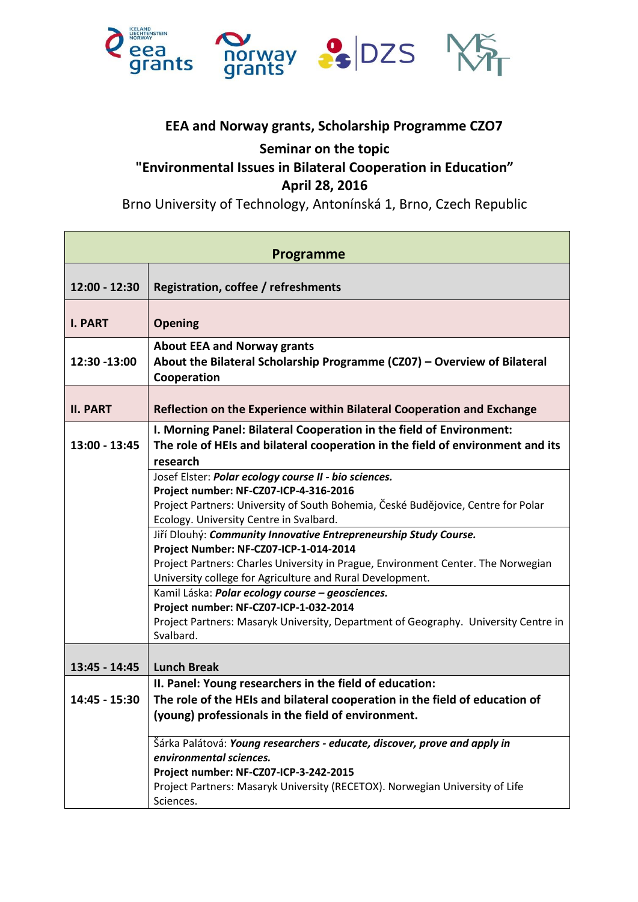

## **EEA and Norway grants, Scholarship Programme CZO7**

## **Seminar on the topic "Environmental Issues in Bilateral Cooperation in Education" April 28, 2016**

Brno University of Technology, Antonínská 1, Brno, Czech Republic

| Programme       |                                                                                                                                                                                                                                                                                                                                                                                                                                                                                                                                                                                                                                                                                                   |
|-----------------|---------------------------------------------------------------------------------------------------------------------------------------------------------------------------------------------------------------------------------------------------------------------------------------------------------------------------------------------------------------------------------------------------------------------------------------------------------------------------------------------------------------------------------------------------------------------------------------------------------------------------------------------------------------------------------------------------|
| 12:00 - 12:30   | Registration, coffee / refreshments                                                                                                                                                                                                                                                                                                                                                                                                                                                                                                                                                                                                                                                               |
| <b>I. PART</b>  | <b>Opening</b>                                                                                                                                                                                                                                                                                                                                                                                                                                                                                                                                                                                                                                                                                    |
| 12:30 -13:00    | <b>About EEA and Norway grants</b><br>About the Bilateral Scholarship Programme (CZ07) - Overview of Bilateral<br>Cooperation                                                                                                                                                                                                                                                                                                                                                                                                                                                                                                                                                                     |
| <b>II. PART</b> | Reflection on the Experience within Bilateral Cooperation and Exchange                                                                                                                                                                                                                                                                                                                                                                                                                                                                                                                                                                                                                            |
| 13:00 - 13:45   | I. Morning Panel: Bilateral Cooperation in the field of Environment:<br>The role of HEIs and bilateral cooperation in the field of environment and its<br>research                                                                                                                                                                                                                                                                                                                                                                                                                                                                                                                                |
|                 | Josef Elster: Polar ecology course II - bio sciences.<br>Project number: NF-CZ07-ICP-4-316-2016<br>Project Partners: University of South Bohemia, České Budějovice, Centre for Polar<br>Ecology. University Centre in Svalbard.<br>Jiří Dlouhý: Community Innovative Entrepreneurship Study Course.<br>Project Number: NF-CZ07-ICP-1-014-2014<br>Project Partners: Charles University in Prague, Environment Center. The Norwegian<br>University college for Agriculture and Rural Development.<br>Kamil Láska: Polar ecology course - geosciences.<br>Project number: NF-CZ07-ICP-1-032-2014<br>Project Partners: Masaryk University, Department of Geography. University Centre in<br>Svalbard. |
| 13:45 - 14:45   | <b>Lunch Break</b>                                                                                                                                                                                                                                                                                                                                                                                                                                                                                                                                                                                                                                                                                |
| 14:45 - 15:30   | II. Panel: Young researchers in the field of education:<br>The role of the HEIs and bilateral cooperation in the field of education of<br>(young) professionals in the field of environment.                                                                                                                                                                                                                                                                                                                                                                                                                                                                                                      |
|                 | Šárka Palátová: Young researchers - educate, discover, prove and apply in<br>environmental sciences.<br>Project number: NF-CZ07-ICP-3-242-2015<br>Project Partners: Masaryk University (RECETOX). Norwegian University of Life<br>Sciences.                                                                                                                                                                                                                                                                                                                                                                                                                                                       |